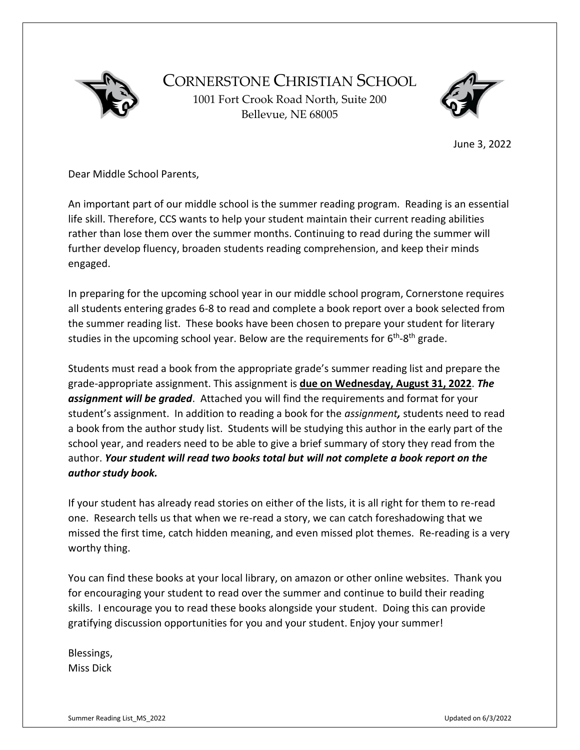

CORNERSTONE CHRISTIAN SCHOOL 1001 Fort Crook Road North, Suite 200 Bellevue, NE 68005



June 3, 2022

Dear Middle School Parents,

An important part of our middle school is the summer reading program. Reading is an essential life skill. Therefore, CCS wants to help your student maintain their current reading abilities rather than lose them over the summer months. Continuing to read during the summer will further develop fluency, broaden students reading comprehension, and keep their minds engaged.

In preparing for the upcoming school year in our middle school program, Cornerstone requires all students entering grades 6-8 to read and complete a book report over a book selected from the summer reading list. These books have been chosen to prepare your student for literary studies in the upcoming school year. Below are the requirements for 6<sup>th</sup>-8<sup>th</sup> grade.

Students must read a book from the appropriate grade's summer reading list and prepare the grade-appropriate assignment. This assignment is **due on Wednesday, August 31, 2022**. *The assignment will be graded*. Attached you will find the requirements and format for your student's assignment. In addition to reading a book for the *assignment,* students need to read a book from the author study list. Students will be studying this author in the early part of the school year, and readers need to be able to give a brief summary of story they read from the author. *Your student will read two books total but will not complete a book report on the author study book.*

If your student has already read stories on either of the lists, it is all right for them to re-read one. Research tells us that when we re-read a story, we can catch foreshadowing that we missed the first time, catch hidden meaning, and even missed plot themes. Re-reading is a very worthy thing.

You can find these books at your local library, on amazon or other online websites. Thank you for encouraging your student to read over the summer and continue to build their reading skills. I encourage you to read these books alongside your student. Doing this can provide gratifying discussion opportunities for you and your student. Enjoy your summer!

Blessings, Miss Dick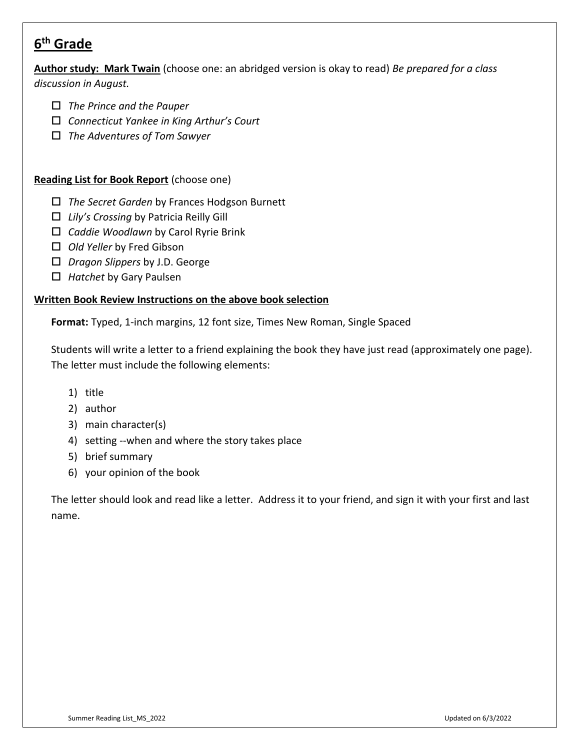# **6 th Grade**

**Author study: Mark Twain** (choose one: an abridged version is okay to read) *Be prepared for a class* 

*discussion in August.*

- *The Prince and the Pauper*
- *Connecticut Yankee in King Arthur's Court*
- *The Adventures of Tom Sawyer*

#### **Reading List for Book Report** (choose one)

- *The Secret Garden* by Frances Hodgson Burnett
- *Lily's Crossing* by Patricia Reilly Gill
- *Caddie Woodlawn* by Carol Ryrie Brink
- *Old Yeller* by Fred Gibson
- *Dragon Slippers* by J.D. George
- *Hatchet* by Gary Paulsen

#### **Written Book Review Instructions on the above book selection**

**Format:** Typed, 1-inch margins, 12 font size, Times New Roman, Single Spaced

Students will write a letter to a friend explaining the book they have just read (approximately one page). The letter must include the following elements:

- 1) title
- 2) author
- 3) main character(s)
- 4) setting --when and where the story takes place
- 5) brief summary
- 6) your opinion of the book

The letter should look and read like a letter. Address it to your friend, and sign it with your first and last name.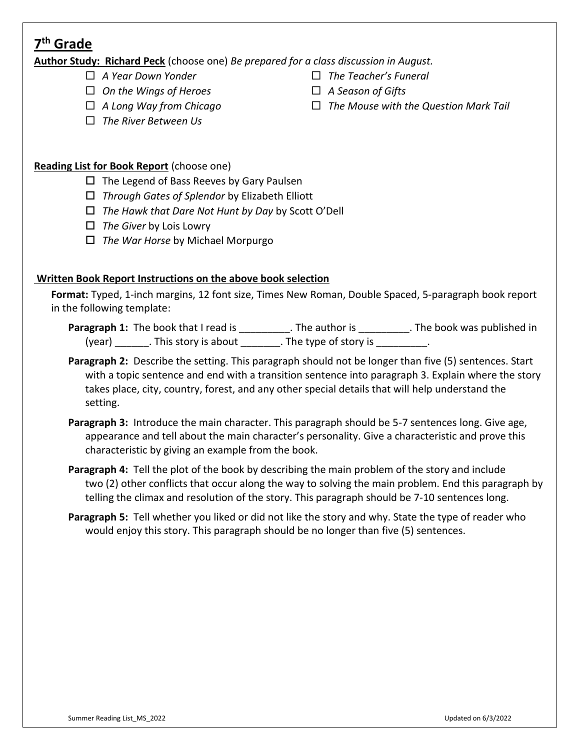## **7 th Grade**

**Author Study: Richard Peck** (choose one) *Be prepared for a class discussion in August.*

- *A Year Down Yonder*
- *On the Wings of Heroes*
- *A Long Way from Chicago*
- *The River Between Us*
- *The Teacher's Funeral*
- *A Season of Gifts*
- *The Mouse with the Question Mark Tail*

- **Reading List for Book Report** (choose one)
	- $\Box$  The Legend of Bass Reeves by Gary Paulsen
	- *Through Gates of Splendor* by Elizabeth Elliott
	- *The Hawk that Dare Not Hunt by Day* by Scott O'Dell
	- *The Giver* by Lois Lowry
	- *The War Horse* by Michael Morpurgo

### **Written Book Report Instructions on the above book selection**

**Format:** Typed, 1-inch margins, 12 font size, Times New Roman, Double Spaced, 5-paragraph book report in the following template:

Paragraph 1: The book that I read is \_\_\_\_\_\_\_\_\_\_. The author is \_\_\_\_\_\_\_\_\_\_. The book was published in (year) \_\_\_\_\_\_\_. This story is about \_\_\_\_\_\_\_\_. The type of story is \_\_\_\_\_\_\_\_\_\_.

- **Paragraph 2:** Describe the setting. This paragraph should not be longer than five (5) sentences. Start with a topic sentence and end with a transition sentence into paragraph 3. Explain where the story takes place, city, country, forest, and any other special details that will help understand the setting.
- **Paragraph 3:** Introduce the main character. This paragraph should be 5-7 sentences long. Give age, appearance and tell about the main character's personality. Give a characteristic and prove this characteristic by giving an example from the book.
- **Paragraph 4:** Tell the plot of the book by describing the main problem of the story and include two (2) other conflicts that occur along the way to solving the main problem. End this paragraph by telling the climax and resolution of the story. This paragraph should be 7-10 sentences long.
- **Paragraph 5:** Tell whether you liked or did not like the story and why. State the type of reader who would enjoy this story. This paragraph should be no longer than five (5) sentences.